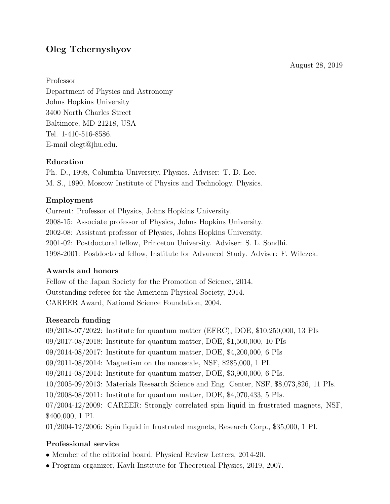August 28, 2019

# Oleg Tchernyshyov

Professor

Department of Physics and Astronomy Johns Hopkins University 3400 North Charles Street Baltimore, MD 21218, USA Tel. 1-410-516-8586. E-mail olegt@jhu.edu.

## Education

Ph. D., 1998, Columbia University, Physics. Adviser: T. D. Lee. M. S., 1990, Moscow Institute of Physics and Technology, Physics.

## Employment

Current: Professor of Physics, Johns Hopkins University. 2008-15: Associate professor of Physics, Johns Hopkins University. 2002-08: Assistant professor of Physics, Johns Hopkins University. 2001-02: Postdoctoral fellow, Princeton University. Adviser: S. L. Sondhi. 1998-2001: Postdoctoral fellow, Institute for Advanced Study. Adviser: F. Wilczek.

# Awards and honors

Fellow of the Japan Society for the Promotion of Science, 2014. Outstanding referee for the American Physical Society, 2014. CAREER Award, National Science Foundation, 2004.

# Research funding

09/2018-07/2022: Institute for quantum matter (EFRC), DOE, \$10,250,000, 13 PIs 09/2017-08/2018: Institute for quantum matter, DOE, \$1,500,000, 10 PIs 09/2014-08/2017: Institute for quantum matter, DOE, \$4,200,000, 6 PIs 09/2011-08/2014: Magnetism on the nanoscale, NSF, \$285,000, 1 PI. 09/2011-08/2014: Institute for quantum matter, DOE, \$3,900,000, 6 PIs. 10/2005-09/2013: Materials Research Science and Eng. Center, NSF, \$8,073,826, 11 PIs. 10/2008-08/2011: Institute for quantum matter, DOE, \$4,070,433, 5 PIs. 07/2004-12/2009: CAREER: Strongly correlated spin liquid in frustrated magnets, NSF, \$400,000, 1 PI. 01/2004-12/2006: Spin liquid in frustrated magnets, Research Corp., \$35,000, 1 PI.

### Professional service

- Member of the editorial board, Physical Review Letters, 2014-20.
- Program organizer, Kavli Institute for Theoretical Physics, 2019, 2007.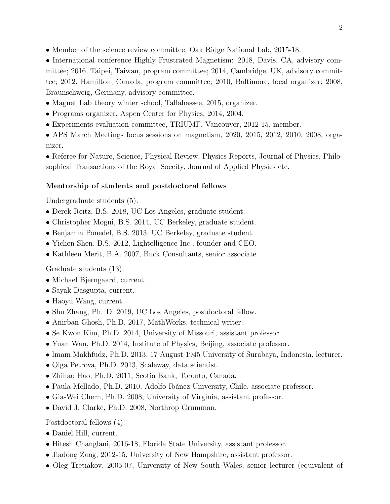• Member of the science review committee, Oak Ridge National Lab, 2015-18.

• International conference Highly Frustrated Magnetism: 2018, Davis, CA, advisory committee; 2016, Taipei, Taiwan, program committee; 2014, Cambridge, UK, advisory committee; 2012, Hamilton, Canada, program committee; 2010, Baltimore, local organizer; 2008, Braunschweig, Germany, advisory committee.

- Magnet Lab theory winter school, Tallahassee, 2015, organizer.
- Programs organizer, Aspen Center for Physics, 2014, 2004.
- Experiments evaluation committee, TRIUMF, Vancouver, 2012-15, member.

• APS March Meetings focus sessions on magnetism, 2020, 2015, 2012, 2010, 2008, organizer.

• Referee for Nature, Science, Physical Review, Physics Reports, Journal of Physics, Philosophical Transactions of the Royal Soceity, Journal of Applied Physics etc.

#### Mentorship of students and postdoctoral fellows

Undergraduate students (5):

- Derek Reitz, B.S. 2018, UC Los Angeles, graduate student.
- Christopher Mogni, B.S. 2014, UC Berkeley, graduate student.
- Benjamin Ponedel, B.S. 2013, UC Berkeley, graduate student.
- Yichen Shen, B.S. 2012, Lightelligence Inc., founder and CEO.
- Kathleen Merit, B.A. 2007, Buck Consultants, senior associate.

Graduate students (13):

- Michael Bjerngaard, current.
- Sayak Dasgupta, current.
- Haoyu Wang, current.
- Shu Zhang, Ph. D. 2019, UC Los Angeles, postdoctoral fellow.
- Anirban Ghosh, Ph.D. 2017, MathWorks, technical writer.
- Se Kwon Kim, Ph.D. 2014, University of Missouri, assistant professor.
- Yuan Wan, Ph.D. 2014, Institute of Physics, Beijing, associate professor.
- Imam Makhfudz, Ph.D. 2013, 17 August 1945 University of Surabaya, Indonesia, lecturer.
- Olga Petrova, Ph.D. 2013, Scaleway, data scientist.
- Zhihao Hao, Ph.D. 2011, Scotia Bank, Toronto, Canada.
- Paula Mellado, Ph.D. 2010, Adolfo Ibáñez University, Chile, associate professor.
- Gia-Wei Chern, Ph.D. 2008, University of Virginia, assistant professor.
- David J. Clarke, Ph.D. 2008, Northrop Grumman.

Postdoctoral fellows (4):

- Daniel Hill, current.
- Hitesh Changlani, 2016-18, Florida State University, assistant professor.
- Jiadong Zang, 2012-15, University of New Hampshire, assistant professor.
- Oleg Tretiakov, 2005-07, University of New South Wales, senior lecturer (equivalent of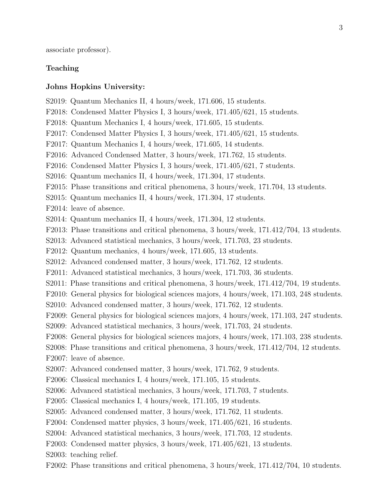associate professor).

### Teaching

### Johns Hopkins University:

S2019: Quantum Mechanics II, 4 hours/week, 171.606, 15 students. F2018: Condensed Matter Physics I, 3 hours/week, 171.405/621, 15 students. F2018: Quantum Mechanics I, 4 hours/week, 171.605, 15 students. F2017: Condensed Matter Physics I, 3 hours/week, 171.405/621, 15 students. F2017: Quantum Mechanics I, 4 hours/week, 171.605, 14 students. F2016: Advanced Condensed Matter, 3 hours/week, 171.762, 15 students. F2016: Condensed Matter Physics I, 3 hours/week, 171.405/621, 7 students. S2016: Quantum mechanics II, 4 hours/week, 171.304, 17 students. F2015: Phase transitions and critical phenomena, 3 hours/week, 171.704, 13 students. S2015: Quantum mechanics II, 4 hours/week, 171.304, 17 students. F2014: leave of absence. S2014: Quantum mechanics II, 4 hours/week, 171.304, 12 students. F2013: Phase transitions and critical phenomena, 3 hours/week, 171.412/704, 13 students. S2013: Advanced statistical mechanics, 3 hours/week, 171.703, 23 students. F2012: Quantum mechanics, 4 hours/week, 171.605, 13 students. S2012: Advanced condensed matter, 3 hours/week, 171.762, 12 students. F2011: Advanced statistical mechanics, 3 hours/week, 171.703, 36 students. S2011: Phase transitions and critical phenomena, 3 hours/week, 171.412/704, 19 students. F2010: General physics for biological sciences majors, 4 hours/week, 171.103, 248 students. S2010: Advanced condensed matter, 3 hours/week, 171.762, 12 students. F2009: General physics for biological sciences majors, 4 hours/week, 171.103, 247 students. S2009: Advanced statistical mechanics, 3 hours/week, 171.703, 24 students. F2008: General physics for biological sciences majors, 4 hours/week, 171.103, 238 students. S2008: Phase transitions and critical phenomena, 3 hours/week, 171.412/704, 12 students. F2007: leave of absence. S2007: Advanced condensed matter, 3 hours/week, 171.762, 9 students. F2006: Classical mechanics I, 4 hours/week, 171.105, 15 students. S2006: Advanced statistical mechanics, 3 hours/week, 171.703, 7 students. F2005: Classical mechanics I, 4 hours/week, 171.105, 19 students. S2005: Advanced condensed matter, 3 hours/week, 171.762, 11 students. F2004: Condensed matter physics, 3 hours/week, 171.405/621, 16 students. S2004: Advanced statistical mechanics, 3 hours/week, 171.703, 12 students. F2003: Condensed matter physics, 3 hours/week, 171.405/621, 13 students. S2003: teaching relief.

F2002: Phase transitions and critical phenomena, 3 hours/week, 171.412/704, 10 students.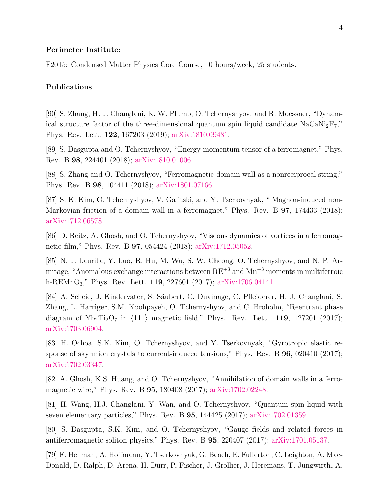#### Perimeter Institute:

F2015: Condensed Matter Physics Core Course, 10 hours/week, 25 students.

#### Publications

[90] S. Zhang, H. J. Changlani, K. W. Plumb, O. Tchernyshyov, and R. Moessner, "Dynamical structure factor of the three-dimensional quantum spin liquid candidate  $NaCaNi<sub>2</sub>F<sub>7</sub>$ " Phys. Rev. Lett. 122, 167203 (2019); [arXiv:1810.09481.](https://arxiv.org/abs/1810.09481)

[89] S. Dasgupta and O. Tchernyshyov, "Energy-momentum tensor of a ferromagnet," Phys. Rev. B 98, 224401 (2018); [arXiv:1810.01006.](https://arxiv.org/abs/1810.01006)

[88] S. Zhang and O. Tchernyshyov, "Ferromagnetic domain wall as a nonreciprocal string," Phys. Rev. B 98, 104411 (2018); [arXiv:1801.07166.](https://arxiv.org/abs/1801.07166)

[87] S. K. Kim, O. Tchernyshyov, V. Galitski, and Y. Tserkovnyak, " Magnon-induced non-Markovian friction of a domain wall in a ferromagnet," Phys. Rev. B **97**, 174433 (2018); [arXiv:1712.06578.](https://arxiv.org/abs/1712.06578)

[86] D. Reitz, A. Ghosh, and O. Tchernyshyov, "Viscous dynamics of vortices in a ferromagnetic film," Phys. Rev. B 97, 054424 (2018); [arXiv:1712.05052.](https://arxiv.org/abs/1712.05052)

[85] N. J. Laurita, Y. Luo, R. Hu, M. Wu, S. W. Cheong, O. Tchernyshyov, and N. P. Armitage, "Anomalous exchange interactions between  $RE^{+3}$  and  $Mn^{+3}$  moments in multiferroic h-REMnO3," Phys. Rev. Lett. 119, 227601 (2017); [arXiv:1706.04141.](https://arxiv.org/abs/1706.04141)

[84] A. Scheie, J. Kindervater, S. Säubert, C. Duvinage, C. Pfleiderer, H. J. Changlani, S. Zhang, L. Harriger, S.M. Koohpayeh, O. Tchernyshyov, and C. Broholm, "Reentrant phase diagram of  $Yb_2Ti_2O_7$  in  $\langle 111 \rangle$  magnetic field," Phys. Rev. Lett. 119, 127201 (2017); [arXiv:1703.06904.](https://arxiv.org/abs/1703.06904)

[83] H. Ochoa, S.K. Kim, O. Tchernyshyov, and Y. Tserkovnyak, "Gyrotropic elastic response of skyrmion crystals to current-induced tensions," Phys. Rev. B 96, 020410 (2017); [arXiv:1702.03347.](https://arxiv.org/abs/1702.03347)

[82] A. Ghosh, K.S. Huang, and O. Tchernyshyov, "Annihilation of domain walls in a ferromagnetic wire," Phys. Rev. B 95, 180408 (2017); [arXiv:1702.02248.](https://arxiv.org/abs/1702.02248)

[81] H. Wang, H.J. Changlani, Y. Wan, and O. Tchernyshyov, "Quantum spin liquid with seven elementary particles," Phys. Rev. B 95, 144425 (2017); [arXiv:1702.01359.](https://arxiv.org/abs/1702.01359)

[80] S. Dasgupta, S.K. Kim, and O. Tchernyshyov, "Gauge fields and related forces in antiferromagnetic soliton physics," Phys. Rev. B 95, 220407 (2017); [arXiv:1701.05137.](https://arxiv.org/abs/1701.05137)

[79] F. Hellman, A. Hoffmann, Y. Tserkovnyak, G. Beach, E. Fullerton, C. Leighton, A. Mac-Donald, D. Ralph, D. Arena, H. Durr, P. Fischer, J. Grollier, J. Heremans, T. Jungwirth, A.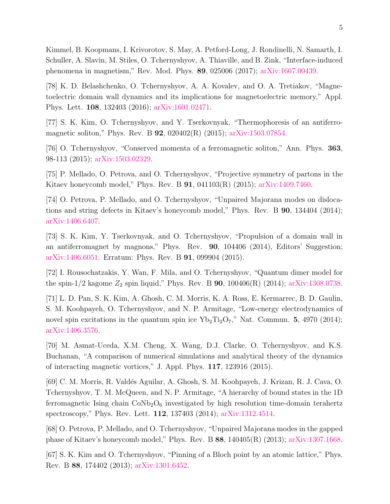Kimmel, B. Koopmans, I. Krivorotov, S. May, A. Petford-Long, J. Rondinelli, N. Samarth, I. Schuller, A. Slavin, M. Stiles, O. Tchernyshyov, A. Thiaville, and B. Zink, "Interface-induced phenomena in magnetism," Rev. Mod. Phys. 89, 025006 (2017); [arXiv:1607.00439.](https://arxiv.org/abs/1607.00439)

[78] K. D. Belashchenko, O. Tchernyshyov, A. A. Kovalev, and O. A. Tretiakov, "Magnetoelectric domain wall dynamics and its implications for magnetoelectric memory," Appl. Phys. Lett. 108, 132403 (2016); [arXiv:1601.02471.](https://arxiv.org/abs/1601.02471)

[77] S. K. Kim, O. Tchernyshyov, and Y. Tserkovnyak, "Thermophoresis of an antiferromagnetic soliton," Phys. Rev. B 92, 020402(R) (2015); [arXiv:1503.07854.](https://arxiv.org/abs/1503.07854)

[76] O. Tchernyshyov, "Conserved momenta of a ferromagnetic soliton," Ann. Phys. 363, 98-113 (2015); [arXiv:1503.02329.](https://arxiv.org/abs/1503.02329)

[75] P. Mellado, O. Petrova, and O. Tchernyshyov, "Projective symmetry of partons in the Kitaev honeycomb model," Phys. Rev. B 91, 041103(R) (2015); [arXiv:1409.7460.](https://arxiv.org/abs/1409.7460)

[74] O. Petrova, P. Mellado, and O. Tchernyshyov, "Unpaired Majorana modes on dislocations and string defects in Kitaev's honeycomb model," Phys. Rev. B 90, 134404 (2014); [arXiv:1406.6407.](https://arxiv.org/abs/1406.6407)

[73] S. K. Kim, Y. Tserkovnyak, and O. Tchernyshyov, "Propulsion of a domain wall in an antiferromagnet by magnons," Phys. Rev. 90, 104406 (2014), Editors' Suggestion; [arXiv:1406.6051.](https://arxiv.org/abs/1406.6051) Erratum: Phys. Rev. B 91, 099904 (2015).

[72] I. Rousochatzakis, Y. Wan, F. Mila, and O. Tchernyshyov, "Quantum dimer model for the spin-1/2 kagome  $Z_2$  spin liquid," Phys. Rev. B **90**, 100406(R) (2014); [arXiv:1308.0738.](https://arxiv.org/abs/1308.0738)

[71] L. D. Pan, S. K. Kim, A. Ghosh, C. M. Morris, K. A. Ross, E. Kermarrec, B. D. Gaulin, S. M. Koohpayeh, O. Tchernyshyov, and N. P. Armitage, "Low-energy electrodynamics of novel spin excitations in the quantum spin ice  $Yb_2Ti_2O_7$ ," Nat. Commun. 5, 4970 (2014); [arXiv:1406.3576.](https://arxiv.org/abs/1406.3576)

[70] M. Asmat-Uceda, X.M. Cheng, X. Wang, D.J. Clarke, O. Tchernyshyov, and K.S. Buchanan, "A comparison of numerical simulations and analytical theory of the dynamics of interacting magnetic vortices," J. Appl. Phys. 117, 123916 (2015).

[69] C. M. Morris, R. Vald´es Aguilar, A. Ghosh, S. M. Koohpayeh, J. Krizan, R. J. Cava, O. Tchernyshyov, T. M. McQueen, and N. P. Armitage, "A hierarchy of bound states in the 1D ferromagnetic Ising chain  $CoNb<sub>2</sub>O<sub>6</sub>$  investigated by high resolution time-domain terahertz spectroscopy," Phys. Rev. Lett. 112, 137403 (2014); [arXiv:1312.4514.](https://arxiv.org/abs/1312.4514)

[68] O. Petrova, P. Mellado, and O. Tchernyshyov, "Unpaired Majorana modes in the gapped phase of Kitaev's honeycomb model," Phys. Rev. B 88, 140405(R) (2013); [arXiv:1307.1668.](https://arxiv.org/abs/1307.1668)

[67] S. K. Kim and O. Tchernyshyov, "Pinning of a Bloch point by an atomic lattice," Phys. Rev. B 88, 174402 (2013); [arXiv:1301.6452.](https://arxiv.org/abs/1301.6452)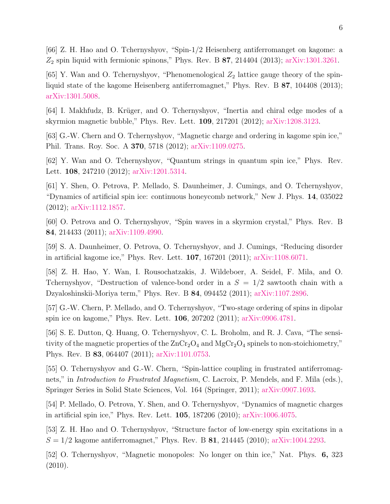[66] Z. H. Hao and O. Tchernyshyov, "Spin-1/2 Heisenberg antiferromanget on kagome: a  $Z_2$  spin liquid with fermionic spinons," Phys. Rev. B 87, 214404 (2013); [arXiv:1301.3261.](https://arxiv.org/abs/1301.3261)

[65] Y. Wan and O. Tchernyshyov, "Phenomenological  $Z_2$  lattice gauge theory of the spinliquid state of the kagome Heisenberg antiferromagnet," Phys. Rev. B 87, 104408 (2013); [arXiv:1301.5008.](https://arxiv.org/abs/1301.5008)

[64] I. Makhfudz, B. Krüger, and O. Tchernyshyov, "Inertia and chiral edge modes of a skyrmion magnetic bubble," Phys. Rev. Lett. 109, 217201 (2012); [arXiv:1208.3123.](https://arxiv.org/abs/1208.3123)

[63] G.-W. Chern and O. Tchernyshyov, "Magnetic charge and ordering in kagome spin ice," Phil. Trans. Roy. Soc. A 370, 5718 (2012); [arXiv:1109.0275.](https://arxiv.org/abs/1109.0275)

[62] Y. Wan and O. Tchernyshyov, "Quantum strings in quantum spin ice," Phys. Rev. Lett. 108, 247210 (2012); [arXiv:1201.5314.](https://arxiv.org/abs/1201.5314)

[61] Y. Shen, O. Petrova, P. Mellado, S. Daunheimer, J. Cumings, and O. Tchernyshyov, "Dynamics of artificial spin ice: continuous honeycomb network," New J. Phys. 14, 035022 (2012); [arXiv:1112.1857.](https://arxiv.org/abs/1112.1857)

[60] O. Petrova and O. Tchernyshyov, "Spin waves in a skyrmion crystal," Phys. Rev. B 84, 214433 (2011); [arXiv:1109.4990.](https://arxiv.org/abs/1109.4990)

[59] S. A. Daunheimer, O. Petrova, O. Tchernyshyov, and J. Cumings, "Reducing disorder in artificial kagome ice," Phys. Rev. Lett. 107, 167201 (2011); [arXiv:1108.6071.](https://arxiv.org/abs/1108.6071)

[58] Z. H. Hao, Y. Wan, I. Rousochatzakis, J. Wildeboer, A. Seidel, F. Mila, and O. Tchernyshyov, "Destruction of valence-bond order in a  $S = 1/2$  sawtooth chain with a Dzyaloshinskii-Moriya term," Phys. Rev. B 84, 094452 (2011); [arXiv:1107.2896.](https://arxiv.org/abs/1107.2896)

[57] G.-W. Chern, P. Mellado, and O. Tchernyshyov, "Two-stage ordering of spins in dipolar spin ice on kagome," Phys. Rev. Lett. 106, 207202 (2011); [arXiv:0906.4781.](https://arxiv.org/abs/0906.4781)

[56] S. E. Dutton, Q. Huang, O. Tchernyshyov, C. L. Broholm, and R. J. Cava, "The sensitivity of the magnetic properties of the  $ZnCr_2O_4$  and  $MgCr_2O_4$  spinels to non-stoichiometry," Phys. Rev. B 83, 064407 (2011); [arXiv:1101.0753.](https://arxiv.org/abs/1101.0753)

[55] O. Tchernyshyov and G.-W. Chern, "Spin-lattice coupling in frustrated antiferromagnets," in *Introduction to Frustrated Magnetism*, C. Lacroix, P. Mendels, and F. Mila (eds.), Springer Series in Solid State Sciences, Vol. 164 (Springer, 2011); [arXiv:0907.1693.](https://arxiv.org/abs/0907.1693)

[54] P. Mellado, O. Petrova, Y. Shen, and O. Tchernyshyov, "Dynamics of magnetic charges in artificial spin ice," Phys. Rev. Lett. 105, 187206 (2010); [arXiv:1006.4075.](https://arxiv.org/abs/1006.4075)

[53] Z. H. Hao and O. Tchernyshyov, "Structure factor of low-energy spin excitations in a  $S = 1/2$  kagome antiferromagnet," Phys. Rev. B 81, 214445 (2010); [arXiv:1004.2293.](https://arxiv.org/abs/1004.2293)

[52] O. Tchernyshyov, "Magnetic monopoles: No longer on thin ice," Nat. Phys. 6, 323 (2010).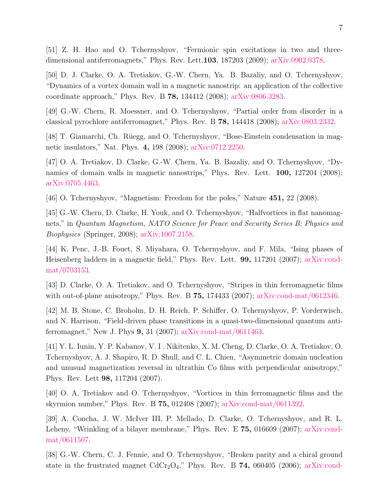[51] Z. H. Hao and O. Tchernyshyov, "Fermionic spin excitations in two and threedimensional antiferromagnets," Phys. Rev. Lett.103, 187203 (2009); [arXiv:0902.0378.](https://arxiv.org/abs/0902.0378)

[50] D. J. Clarke, O. A. Tretiakov, G.-W. Chern, Ya. B. Bazaliy, and O. Tchernyshyov, "Dynamics of a vortex domain wall in a magnetic nanostrip: an application of the collective coordinate approach," Phys. Rev. B 78, 134412 (2008); [arXiv:0806.3283.](https://arxiv.org/abs/0806.3283)

[49] G.-W. Chern, R. Moessner, and O. Tchernyshyov, "Partial order from disorder in a classical pyrochlore antiferromagnet," Phys. Rev. B 78, 144418 (2008); [arXiv:0803.2332.](https://arxiv.org/abs/0803.2332)

[48] T. Giamarchi, Ch. Rüegg, and O. Tchernyshyov, "Bose-Einstein condensation in magnetic insulators," Nat. Phys. 4, 198 (2008); [arXiv:0712.2250.](https://arxiv.org/abs/0712.2250)

[47] O. A. Tretiakov, D. Clarke, G.-W. Chern, Ya. B. Bazaliy, and O. Tchernyshyov, "Dynamics of domain walls in magnetic nanostrips," Phys. Rev. Lett. **100,** 127204 (2008); [arXiv:0705.4463.](https://arxiv.org/abs/0705.4463)

[46] O. Tchernyshyov, "Magnetism: Freedom for the poles," Nature 451, 22 (2008).

[45] G.-W. Chern, D. Clarke, H. Youk, and O. Tchernyshyov, "Halfvortices in flat nanomagnets," in Quantum Magnetism, NATO Science for Peace and Security Series B: Physics and Biophysics (Springer, 2008); [arXiv:1007.2158.](https://arxiv.org/abs/1007.2158)

[44] K. Penc, J.-B. Fouet, S. Miyahara, O. Tchernyshyov, and F. Mila, "Ising phases of Heisenberg ladders in a magnetic field," Phys. Rev. Lett. 99, 117201 (2007); [arXiv:cond](https://arxiv.org/abs/cond-mat/0703153)[mat/0703153.](https://arxiv.org/abs/cond-mat/0703153)

[43] D. Clarke, O. A. Tretiakov, and O. Tchernyshyov, "Stripes in thin ferromagnetic films with out-of-plane anisotropy," Phys. Rev. B **75,** 174433 (2007); [arXiv:cond-mat/0612346.](https://arxiv.org/abs/cond-mat/0612346)

[42] M. B. Stone, C. Broholm, D. H. Reich, P. Schiffer, O. Tchernyshyov, P. Vorderwisch, and N. Harrison, "Field-driven phase transitions in a quasi-two-dimensional quantum antiferromagnet," New J. Phys 9, 31 (2007); [arXiv:cond-mat/0611463.](https://arxiv.org/abs/cond-mat/0611463)

[41] Y. L. Iunin, Y. P. Kabanov, V. I . Nikitenko, X. M. Cheng, D. Clarke, O. A. Tretiakov, O. Tchernyshyov, A. J. Shapiro, R. D. Shull, and C. L. Chien, "Asymmetric domain nucleation and unusual magnetization reversal in ultrathin Co films with perpendicular anisotropy," Phys. Rev. Lett 98, 117204 (2007).

[40] O. A. Tretiakov and O. Tchernyshyov, "Vortices in thin ferromagnetic films and the skyrmion number," Phys. Rev. B 75, 012408 (2007); [arXiv:cond-mat/0611392.](https://arxiv.org/abs/cond-mat/0611392)

[39] A. Concha, J. W. McIver III, P. Mellado, D. Clarke, O. Tchernyshyov, and R. L. Leheny, "Wrinkling of a bilayer membrane," Phys. Rev. E 75, 016609 (2007); [arXiv:cond](https://arxiv.org/abs/cond-mat/0611507)[mat/0611507.](https://arxiv.org/abs/cond-mat/0611507)

[38] G.-W. Chern, C. J. Fennie, and O. Tchernyshyov, "Broken parity and a chiral ground state in the frustrated magnet  $CdCr<sub>2</sub>O<sub>4</sub>$ ," Phys. Rev. B 74, 060405 (2006); [arXiv:cond-](https://arxiv.org/abs/cond-mat/0606039)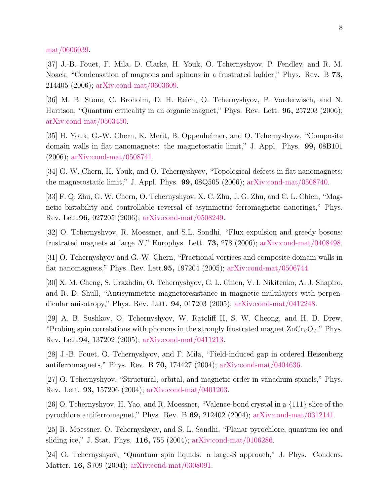[mat/0606039.](https://arxiv.org/abs/cond-mat/0606039)

[37] J.-B. Fouet, F. Mila, D. Clarke, H. Youk, O. Tchernyshyov, P. Fendley, and R. M. Noack, "Condensation of magnons and spinons in a frustrated ladder," Phys. Rev. B 73, 214405 (2006); [arXiv:cond-mat/0603609.](https://arxiv.org/abs/cond-mat/0603609)

[36] M. B. Stone, C. Broholm, D. H. Reich, O. Tchernyshyov, P. Vorderwisch, and N. Harrison, "Quantum criticality in an organic magnet," Phys. Rev. Lett. 96, 257203 (2006); [arXiv:cond-mat/0503450.](https://arxiv.org/abs/cond-mat/0503450)

[35] H. Youk, G.-W. Chern, K. Merit, B. Oppenheimer, and O. Tchernyshyov, "Composite domain walls in flat nanomagnets: the magnetostatic limit," J. Appl. Phys. 99, 08B101 (2006); [arXiv:cond-mat/0508741.](https://arxiv.org/abs/cond-mat/0508741)

[34] G.-W. Chern, H. Youk, and O. Tchernyshyov, "Topological defects in flat nanomagnets: the magnetostatic limit," J. Appl. Phys. 99, 08Q505 (2006); [arXiv:cond-mat/0508740.](https://arxiv.org/abs/cond-mat/0508740)

[33] F. Q. Zhu, G. W. Chern, O. Tchernyshyov, X. C. Zhu, J. G. Zhu, and C. L. Chien, "Magnetic bistability and controllable reversal of asymmetric ferromagnetic nanorings," Phys. Rev. Lett.96, 027205 (2006); [arXiv:cond-mat/0508249.](https://arxiv.org/abs/cond-mat/0508249)

[32] O. Tchernyshyov, R. Moessner, and S.L. Sondhi, "Flux expulsion and greedy bosons: frustrated magnets at large N," Europhys. Lett. **73,** 278 (2006); [arXiv:cond-mat/0408498.](https://arxiv.org/abs/cond-mat/0408498)

[31] O. Tchernyshyov and G.-W. Chern, "Fractional vortices and composite domain walls in flat nanomagnets," Phys. Rev. Lett.95, 197204 (2005); [arXiv:cond-mat/0506744.](https://arxiv.org/abs/cond-mat/0506744)

[30] X. M. Cheng, S. Urazhdin, O. Tchernyshyov, C. L. Chien, V. I. Nikitenko, A. J. Shapiro, and R. D. Shull, "Antisymmetric magnetoresistance in magnetic multilayers with perpendicular anisotropy," Phys. Rev. Lett. 94, 017203 (2005); [arXiv:cond-mat/0412248.](https://arxiv.org/abs/cond-mat/0412248)

[29] A. B. Sushkov, O. Tchernyshyov, W. Ratcliff II, S. W. Cheong, and H. D. Drew, "Probing spin correlations with phonons in the strongly frustrated magnet  $\text{ZnCr}_{2}\text{O}_{4}$ ," Phys. Rev. Lett.94, 137202 (2005); [arXiv:cond-mat/0411213.](https://arxiv.org/abs/cond-mat/0411213)

[28] J.-B. Fouet, O. Tchernyshyov, and F. Mila, "Field-induced gap in ordered Heisenberg antiferromagnets," Phys. Rev. B 70, 174427 (2004); [arXiv:cond-mat/0404636.](https://arxiv.org/abs/cond-mat/0404636)

[27] O. Tchernyshyov, "Structural, orbital, and magnetic order in vanadium spinels," Phys. Rev. Lett. 93, 157206 (2004); [arXiv:cond-mat/0401203.](https://arxiv.org/abs/cond-mat/0401203)

[26] O. Tchernyshyov, H. Yao, and R. Moessner, "Valence-bond crystal in a {111} slice of the pyrochlore antiferromagnet," Phys. Rev. B 69, 212402 (2004); [arXiv:cond-mat/0312141.](https://arxiv.org/abs/cond-mat/0312141)

[25] R. Moessner, O. Tchernyshyov, and S. L. Sondhi, "Planar pyrochlore, quantum ice and sliding ice," J. Stat. Phys. 116, 755 (2004); [arXiv:cond-mat/0106286.](https://arxiv.org/abs/cond-mat/0106286)

[24] O. Tchernyshyov, "Quantum spin liquids: a large-S approach," J. Phys. Condens. Matter. 16, S709 (2004); [arXiv:cond-mat/0308091.](https://arxiv.org/abs/cond-mat/0308091)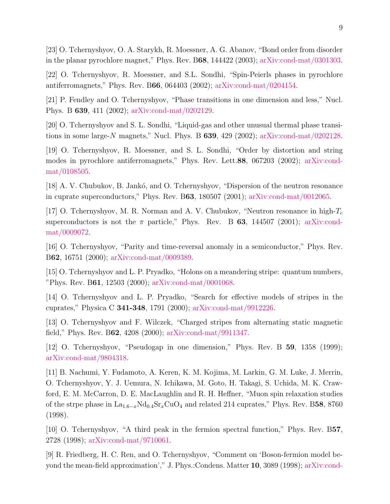[23] O. Tchernyshyov, O. A. Starykh, R. Moessner, A. G. Abanov, "Bond order from disorder in the planar pyrochlore magnet," Phys. Rev. B68, 144422 (2003); [arXiv:cond-mat/0301303.](https://arxiv.org/abs/cond-mat/0301303)

[22] O. Tchernyshyov, R. Moessner, and S.L. Sondhi, "Spin-Peierls phases in pyrochlore antiferromagnets," Phys. Rev. B66, 064403 (2002); [arXiv:cond-mat/0204154.](https://arxiv.org/abs/cond-mat/0204154)

[21] P. Fendley and O. Tchernyshyov, "Phase transitions in one dimension and less," Nucl. Phys. B 639, 411 (2002); [arXiv:cond-mat/0202129.](https://arxiv.org/abs/cond-mat/0202129)

[20] O. Tchernyshyov and S. L. Sondhi, "Liquid-gas and other unusual thermal phase transitions in some large-N magnets," Nucl. Phys. B  $639, 429$  (2002); [arXiv:cond-mat/0202128.](https://arxiv.org/abs/cond-mat/0202128)

[19] O. Tchernyshyov, R. Moessner, and S. L. Sondhi, "Order by distortion and string modes in pyrochlore antiferromagnets," Phys. Rev. Lett.88, 067203 (2002); [arXiv:cond](https://arxiv.org/abs/cond-mat/0108505)[mat/0108505.](https://arxiv.org/abs/cond-mat/0108505)

[18] A. V. Chubukov, B. Jankó, and O. Tchernyshyov, "Dispersion of the neutron resonance in cuprate superconductors," Phys. Rev. B63, 180507 (2001); [arXiv:cond-mat/0012065.](https://arxiv.org/abs/cond-mat/0012065)

[17] O. Tchernyshyov, M. R. Norman and A. V. Chubukov, "Neutron resonance in high- $T_c$ superconductors is not the  $\pi$  particle," Phys. Rev. B 63, 144507 (2001); [arXiv:cond](https://arxiv.org/abs/cond-mat/0009072)[mat/0009072.](https://arxiv.org/abs/cond-mat/0009072)

[16] O. Tchernyshyov, "Parity and time-reversal anomaly in a semiconductor," Phys. Rev. B62, 16751 (2000); [arXiv:cond-mat/0009389.](https://arxiv.org/abs/cond-mat/0009389)

[15] O. Tchernyshyov and L. P. Pryadko, "Holons on a meandering stripe: quantum numbers, "Phys. Rev. B61, 12503 (2000); [arXiv:cond-mat/0001068.](https://arxiv.org/abs/cond-mat/0001068)

[14] O. Tchernyshyov and L. P. Pryadko, "Search for effective models of stripes in the cuprates," Physica C 341-348, 1791 (2000); [arXiv:cond-mat/9912226.](https://arxiv.org/abs/cond-mat/9912226)

[13] O. Tchernyshyov and F. Wilczek, "Charged stripes from alternating static magnetic field," Phys. Rev. B62, 4208 (2000); [arXiv:cond-mat/9911347.](https://arxiv.org/abs/cond-mat/9911347)

[12] O. Tchernyshyov, "Pseudogap in one dimension," Phys. Rev. B 59, 1358 (1999); [arXiv:cond-mat/9804318.](https://arxiv.org/abs/cond-mat/9804318)

[11] B. Nachumi, Y. Fudamoto, A. Keren, K. M. Kojima, M. Larkin, G. M. Luke, J. Merrin, O. Tchernyshyov, Y. J. Uemura, N. Ichikawa, M. Goto, H. Takagi, S. Uchida, M. K. Crawford, E. M. McCarron, D. E. MacLaughlin and R. H. Heffner, "Muon spin relaxation studies of the strpe phase in  $La_{1.6-x}Nd_{0.4}Sr_xCuO_4$  and related 214 cuprates," Phys. Rev. B58, 8760 (1998).

[10] O. Tchernyshyov, "A third peak in the fermion spectral function," Phys. Rev. B57, 2728 (1998); [arXiv:cond-mat/9710061.](https://arxiv.org/abs/cond-mat/9710061)

[9] R. Friedberg, H. C. Ren, and O. Tchernyshyov, "Comment on 'Boson-fermion model beyond the mean-field approximation'," J. Phys.:Condens. Matter 10, 3089 (1998); [arXiv:cond-](https://arxiv.org/abs/cond-mat/9705089)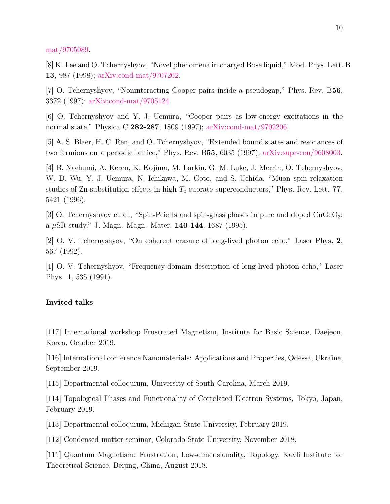[mat/9705089.](https://arxiv.org/abs/cond-mat/9705089)

[8] K. Lee and O. Tchernyshyov, "Novel phenomena in charged Bose liquid," Mod. Phys. Lett. B 13, 987 (1998); [arXiv:cond-mat/9707202.](https://arxiv.org/abs/cond-mat/9707202)

[7] O. Tchernyshyov, "Noninteracting Cooper pairs inside a pseudogap," Phys. Rev. B56, 3372 (1997); [arXiv:cond-mat/9705124.](https://arxiv.org/abs/cond-mat/9705124)

[6] O. Tchernyshyov and Y. J. Uemura, "Cooper pairs as low-energy excitations in the normal state," Physica C 282-287, 1809 (1997); [arXiv:cond-mat/9702206.](https://arxiv.org/abs/cond-mat/9702206)

[5] A. S. Blaer, H. C. Ren, and O. Tchernyshyov, "Extended bound states and resonances of two fermions on a periodic lattice," Phys. Rev. B55, 6035 (1997); [arXiv:supr-con/9608003.](https://arxiv.org/abs/supr-con/9608003)

[4] B. Nachumi, A. Keren, K. Kojima, M. Larkin, G. M. Luke, J. Merrin, O. Tchernyshyov, W. D. Wu, Y. J. Uemura, N. Ichikawa, M. Goto, and S. Uchida, "Muon spin relaxation studies of Zn-substitution effects in high- $T_c$  cuprate superconductors," Phys. Rev. Lett. 77, 5421 (1996).

[3] O. Tchernyshyov et al., "Spin-Peierls and spin-glass phases in pure and doped CuGeO3: a  $\mu$ SR study," J. Magn. Magn. Mater. **140-144**, 1687 (1995).

[2] O. V. Tchernyshyov, "On coherent erasure of long-lived photon echo," Laser Phys. 2, 567 (1992).

[1] O. V. Tchernyshyov, "Frequency-domain description of long-lived photon echo," Laser Phys. 1, 535 (1991).

### Invited talks

[117] International workshop Frustrated Magnetism, Institute for Basic Science, Daejeon, Korea, October 2019.

[116] International conference Nanomaterials: Applications and Properties, Odessa, Ukraine, September 2019.

[115] Departmental colloquium, University of South Carolina, March 2019.

[114] Topological Phases and Functionality of Correlated Electron Systems, Tokyo, Japan, February 2019.

[113] Departmental colloquium, Michigan State University, February 2019.

[112] Condensed matter seminar, Colorado State University, November 2018.

[111] Quantum Magnetism: Frustration, Low-dimensionality, Topology, Kavli Institute for Theoretical Science, Beijing, China, August 2018.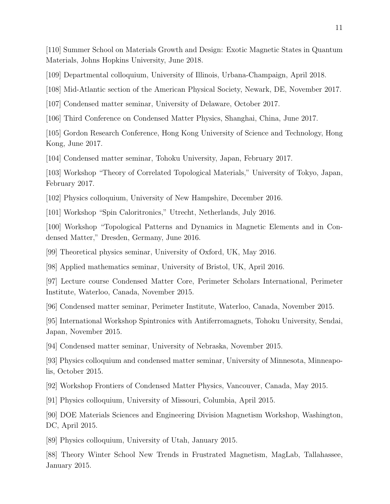[110] Summer School on Materials Growth and Design: Exotic Magnetic States in Quantum Materials, Johns Hopkins University, June 2018.

[109] Departmental colloquium, University of Illinois, Urbana-Champaign, April 2018.

[108] Mid-Atlantic section of the American Physical Society, Newark, DE, November 2017.

[107] Condensed matter seminar, University of Delaware, October 2017.

[106] Third Conference on Condensed Matter Physics, Shanghai, China, June 2017.

[105] Gordon Research Conference, Hong Kong University of Science and Technology, Hong Kong, June 2017.

[104] Condensed matter seminar, Tohoku University, Japan, February 2017.

[103] Workshop "Theory of Correlated Topological Materials," University of Tokyo, Japan, February 2017.

[102] Physics colloquium, University of New Hampshire, December 2016.

[101] Workshop "Spin Caloritronics," Utrecht, Netherlands, July 2016.

[100] Workshop "Topological Patterns and Dynamics in Magnetic Elements and in Condensed Matter," Dresden, Germany, June 2016.

[99] Theoretical physics seminar, University of Oxford, UK, May 2016.

[98] Applied mathematics seminar, University of Bristol, UK, April 2016.

[97] Lecture course Condensed Matter Core, Perimeter Scholars International, Perimeter Institute, Waterloo, Canada, November 2015.

[96] Condensed matter seminar, Perimeter Institute, Waterloo, Canada, November 2015.

[95] International Workshop Spintronics with Antiferromagnets, Tohoku University, Sendai, Japan, November 2015.

[94] Condensed matter seminar, University of Nebraska, November 2015.

[93] Physics colloquium and condensed matter seminar, University of Minnesota, Minneapolis, October 2015.

[92] Workshop Frontiers of Condensed Matter Physics, Vancouver, Canada, May 2015.

[91] Physics colloquium, University of Missouri, Columbia, April 2015.

[90] DOE Materials Sciences and Engineering Division Magnetism Workshop, Washington, DC, April 2015.

[89] Physics colloquium, University of Utah, January 2015.

[88] Theory Winter School New Trends in Frustrated Magnetism, MagLab, Tallahassee, January 2015.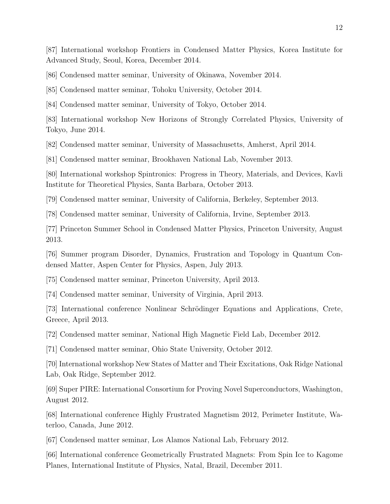[87] International workshop Frontiers in Condensed Matter Physics, Korea Institute for Advanced Study, Seoul, Korea, December 2014.

[86] Condensed matter seminar, University of Okinawa, November 2014.

[85] Condensed matter seminar, Tohoku University, October 2014.

[84] Condensed matter seminar, University of Tokyo, October 2014.

[83] International workshop New Horizons of Strongly Correlated Physics, University of Tokyo, June 2014.

[82] Condensed matter seminar, University of Massachusetts, Amherst, April 2014.

[81] Condensed matter seminar, Brookhaven National Lab, November 2013.

[80] International workshop Spintronics: Progress in Theory, Materials, and Devices, Kavli Institute for Theoretical Physics, Santa Barbara, October 2013.

[79] Condensed matter seminar, University of California, Berkeley, September 2013.

[78] Condensed matter seminar, University of California, Irvine, September 2013.

[77] Princeton Summer School in Condensed Matter Physics, Princeton University, August 2013.

[76] Summer program Disorder, Dynamics, Frustration and Topology in Quantum Condensed Matter, Aspen Center for Physics, Aspen, July 2013.

[75] Condensed matter seminar, Princeton University, April 2013.

[74] Condensed matter seminar, University of Virginia, April 2013.

[73] International conference Nonlinear Schrödinger Equations and Applications, Crete, Greece, April 2013.

[72] Condensed matter seminar, National High Magnetic Field Lab, December 2012.

[71] Condensed matter seminar, Ohio State University, October 2012.

[70] International workshop New States of Matter and Their Excitations, Oak Ridge National Lab, Oak Ridge, September 2012.

[69] Super PIRE: International Consortium for Proving Novel Superconductors, Washington, August 2012.

[68] International conference Highly Frustrated Magnetism 2012, Perimeter Institute, Waterloo, Canada, June 2012.

[67] Condensed matter seminar, Los Alamos National Lab, February 2012.

[66] International conference Geometrically Frustrated Magnets: From Spin Ice to Kagome Planes, International Institute of Physics, Natal, Brazil, December 2011.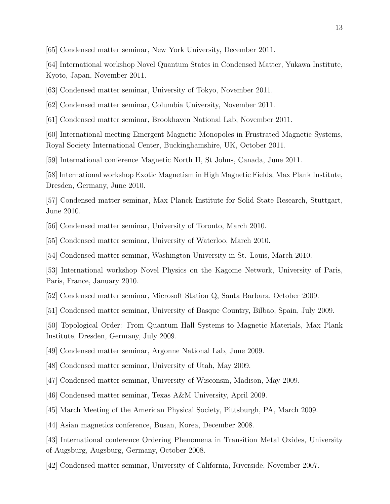[65] Condensed matter seminar, New York University, December 2011.

[64] International workshop Novel Quantum States in Condensed Matter, Yukawa Institute, Kyoto, Japan, November 2011.

[63] Condensed matter seminar, University of Tokyo, November 2011.

[62] Condensed matter seminar, Columbia University, November 2011.

[61] Condensed matter seminar, Brookhaven National Lab, November 2011.

[60] International meeting Emergent Magnetic Monopoles in Frustrated Magnetic Systems, Royal Society International Center, Buckinghamshire, UK, October 2011.

[59] International conference Magnetic North II, St Johns, Canada, June 2011.

[58] International workshop Exotic Magnetism in High Magnetic Fields, Max Plank Institute, Dresden, Germany, June 2010.

[57] Condensed matter seminar, Max Planck Institute for Solid State Research, Stuttgart, June 2010.

[56] Condensed matter seminar, University of Toronto, March 2010.

[55] Condensed matter seminar, University of Waterloo, March 2010.

[54] Condensed matter seminar, Washington University in St. Louis, March 2010.

[53] International workshop Novel Physics on the Kagome Network, University of Paris, Paris, France, January 2010.

[52] Condensed matter seminar, Microsoft Station Q, Santa Barbara, October 2009.

[51] Condensed matter seminar, University of Basque Country, Bilbao, Spain, July 2009.

[50] Topological Order: From Quantum Hall Systems to Magnetic Materials, Max Plank Institute, Dresden, Germany, July 2009.

[49] Condensed matter seminar, Argonne National Lab, June 2009.

[48] Condensed matter seminar, University of Utah, May 2009.

[47] Condensed matter seminar, University of Wisconsin, Madison, May 2009.

[46] Condensed matter seminar, Texas A&M University, April 2009.

[45] March Meeting of the American Physical Society, Pittsburgh, PA, March 2009.

[44] Asian magnetics conference, Busan, Korea, December 2008.

[43] International conference Ordering Phenomena in Transition Metal Oxides, University of Augsburg, Augsburg, Germany, October 2008.

[42] Condensed matter seminar, University of California, Riverside, November 2007.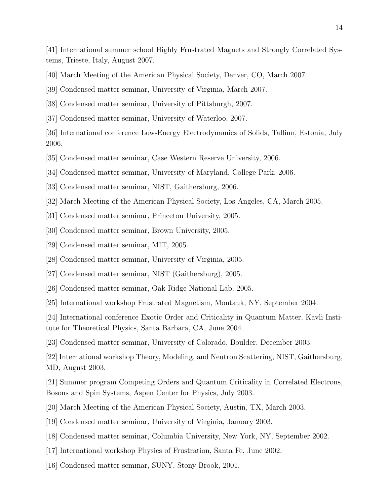[41] International summer school Highly Frustrated Magnets and Strongly Correlated Systems, Trieste, Italy, August 2007.

- [40] March Meeting of the American Physical Society, Denver, CO, March 2007.
- [39] Condensed matter seminar, University of Virginia, March 2007.
- [38] Condensed matter seminar, University of Pittsburgh, 2007.
- [37] Condensed matter seminar, University of Waterloo, 2007.

[36] International conference Low-Energy Electrodynamics of Solids, Tallinn, Estonia, July 2006.

- [35] Condensed matter seminar, Case Western Reserve University, 2006.
- [34] Condensed matter seminar, University of Maryland, College Park, 2006.
- [33] Condensed matter seminar, NIST, Gaithersburg, 2006.
- [32] March Meeting of the American Physical Society, Los Angeles, CA, March 2005.
- [31] Condensed matter seminar, Princeton University, 2005.
- [30] Condensed matter seminar, Brown University, 2005.
- [29] Condensed matter seminar, MIT, 2005.
- [28] Condensed matter seminar, University of Virginia, 2005.
- [27] Condensed matter seminar, NIST (Gaithersburg), 2005.
- [26] Condensed matter seminar, Oak Ridge National Lab, 2005.
- [25] International workshop Frustrated Magnetism, Montauk, NY, September 2004.

[24] International conference Exotic Order and Criticality in Quantum Matter, Kavli Institute for Theoretical Physics, Santa Barbara, CA, June 2004.

[23] Condensed matter seminar, University of Colorado, Boulder, December 2003.

[22] International workshop Theory, Modeling, and Neutron Scattering, NIST, Gaithersburg, MD, August 2003.

[21] Summer program Competing Orders and Quantum Criticality in Correlated Electrons, Bosons and Spin Systems, Aspen Center for Physics, July 2003.

- [20] March Meeting of the American Physical Society, Austin, TX, March 2003.
- [19] Condensed matter seminar, University of Virginia, January 2003.
- [18] Condensed matter seminar, Columbia University, New York, NY, September 2002.
- [17] International workshop Physics of Frustration, Santa Fe, June 2002.
- [16] Condensed matter seminar, SUNY, Stony Brook, 2001.